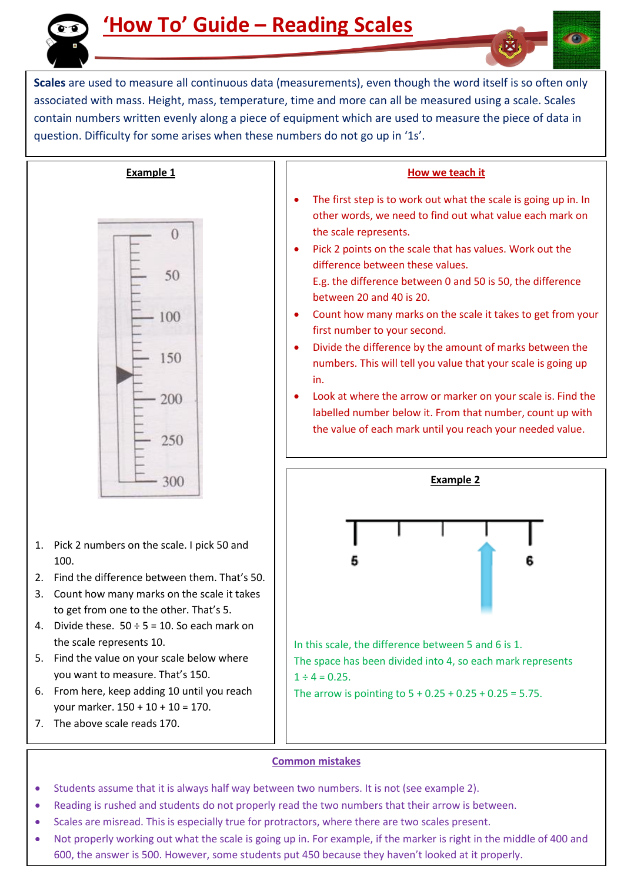

**Scales** are used to measure all continuous data (measurements), even though the word itself is so often only associated with mass. Height, mass, temperature, time and more can all be measured using a scale. Scales contain numbers written evenly along a piece of equipment which are used to measure the piece of data in question. Difficulty for some arises when these numbers do not go up in '1s'.



- 1. Pick 2 numbers on the scale. I pick 50 and 100.
- 2. Find the difference between them. That's 50.
- 3. Count how many marks on the scale it takes to get from one to the other. That's 5.
- 4. Divide these.  $50 \div 5 = 10$ . So each mark on the scale represents 10.
- 5. Find the value on your scale below where you want to measure. That's 150.
- 6. From here, keep adding 10 until you reach your marker. 150 + 10 + 10 = 170.
- 7. The above scale reads 170.

## **How we teach it**

- The first step is to work out what the scale is going up in. In other words, we need to find out what value each mark on the scale represents.
- Pick 2 points on the scale that has values. Work out the difference between these values.
	- E.g. the difference between 0 and 50 is 50, the difference between 20 and 40 is 20.
- Count how many marks on the scale it takes to get from your first number to your second.
- Divide the difference by the amount of marks between the numbers. This will tell you value that your scale is going up in.
- Look at where the arrow or marker on your scale is. Find the labelled number below it. From that number, count up with the value of each mark until you reach your needed value.



## **Common mistakes**

- Students assume that it is always half way between two numbers. It is not (see example 2).
- Reading is rushed and students do not properly read the two numbers that their arrow is between.
- Scales are misread. This is especially true for protractors, where there are two scales present.
- Not properly working out what the scale is going up in. For example, if the marker is right in the middle of 400 and 600, the answer is 500. However, some students put 450 because they haven't looked at it properly.